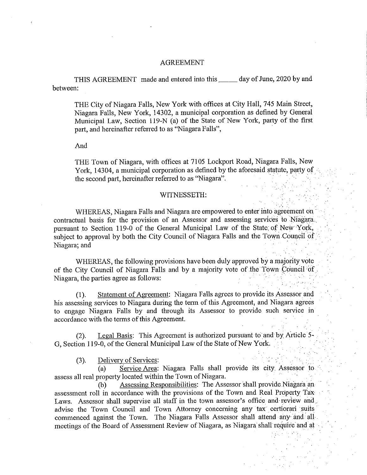## AGREEMENT

THIS AGREEMENT made and entered into this \_ day of June, 2020 by and between;

THE City of Niagara Falls, New York with offices at City Hall, 745 Main Street, Niagara Falls, New York, 14302, a municipal corporation as defined by General Municipal Law, Section 119-N (a) of the State of New York, party of the first part, and hereinafter referred to as "Niagara Falls",

And

THE Town of Niagara, with offices at 7105 Lockport Road, Niagara Falls, New York, 14304, a municipal corporation as defined by the aforesaid statute, party of the second part, hereinafter referred to as "Niagara".

## WITNESSETH:

WHEREAS, Niagara Falls and Niagara are empowered to enter into agreement on contractual basis for the provision of an Assessor and assessing services to Niagara. pursuant to Section 119-0 of the General Municipal Law of the State; of New York, subject to approval by both the City Council of Niagara Falls and the Town Council of Niagara; and

WHEREAS, the following provisions have been duly approved by a majority vote of the City Council of Niagara Falls and by a majority vote of the Town Council of Niagara, the parties agree as follows:

(1). Statement of Agreement: Niagara Falls agrees to provide its Assessor and his assessing services to Niagara during the term of this Agreement, and Niagara agrees to engage Niagara Falls by and through its Assessor to provide such service in accordance with the terms of this Agreement.

(2). Legal Basis: This Agreement is authorized pursuant to and by Article  $5-$ G, Section 119-0, of the General Municipal Law of the State of New York.

(3). Delivery of Services:

(a) Service Area: Niagara Falls shall provide its city. Assessor to assess all real property located within the Town of Niagara. •

(b) Assessing Responsibilities: The Assessor shall provide-Niagara an assessment roll in accordance with the provisions of the Town and Real Property Tax-Laws. Assessor shall supervise all staff in the town assessor's office and review and advise the Town Council and Town Attorney concerning any tax certiorari suits commenced against the Town. The Niagara Falls Assessor shall attend any and all meetings of the Board of Assessment Review of Niagara, as Niagara shall require and at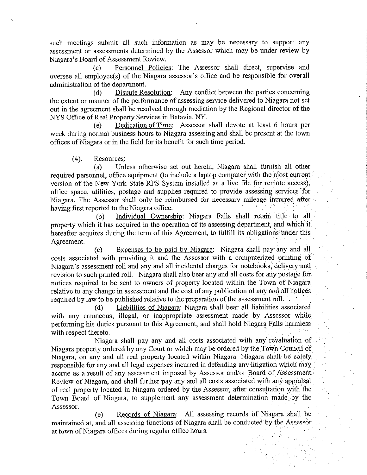such meetings submit all such information as may be necessary to support any assessment or assessments determined by the Assessor which may be under review by. Niagara's Board of Assessment Review.

(c) Personnel Policies: The Assessor shall direct, supervise and oversee all employee(s) of the Niagara assessor's office and be responsible for overall administration of the department.

(d) Dispute Resolution: Any conflict between the parties concerning the extent or manner of the performance of assessing service delivered to Niagara not set out in the agreement shall be resolved through mediation by the Regional director of the NYS Office of Real Property Services in Batavia, NY.

(e) Dedication of Time: Assessor shall devote at least 6 hours per week during normal business hours to Niagara assessing and shall be present at the town offices of Niagara or in the field for its benefit for such time period.

## (4). Resources:

(a) Unless otherwise set out herein, Niagara shall furnish all other required personnel, office equipment (to include a laptop computer with the most current version of the New York State RPS System installed as a live file for remote access), office space, utilities, postage and supplies required to provide assessing services for Niagara. The Assessor shall only be reimbursed for necessary mileage incurred after having first reported to the Niagara office.

(b) Individual Ownership: Niagara Falls shall retain title to all property which it has acquired in the operation of its assessing department, and which it hereafter acquires during the term of this Agreement, to fulfill its obligations: under this Agreement.

(c) Expenses to be paid by Niagara: Niagara shall pay any and all costs associated with providing it and the Assessor with a computerized printing of Niagara's assessment roll and any and all incidental charges for notebooks, delivery and revision to such printed roll. Niagara shall also bear any and all costs for any postage for notices required to be sent to owners of property located within the Town of Niagara relative to any change in assessment and the cost of any publication of any and-all notices required by law to be published relative to the preparation of the assessment roll.

(d) Liabilities of Niagara: Niagara shall bear all liabilities associated with any erroneous, illegal, or inappropriate assessment made by Assessor while performing his duties pursuant to this Agreement, and shall hold Niagara Falls harmless with respect thereto.

Niagara shall pay any and all costs associated with any revaluation of Niagara property ordered by any Court or which may be ordered by the Town Council of Niagara, on any and all real property located within Niagara. Niagara shall be solely responsible for any and all legal expenses incurred in defending any litigation which may accrue as a result of any assessment imposed by Assessor and/or Board of Assessment Review of Niagara, and shall further pay any and all costs associated with any appraisal of real property located in Niagara ordered by the Assessor, after consultation with the Town Board of Niagara, to supplement any assessment determination made. by the Assessor.

(e) Records of Niagara: All assessing records of Niagara shall be maintained at, and all assessing functions of Niagara shall be conducted by the Assessor at town of Niagara offices during regular office hours.